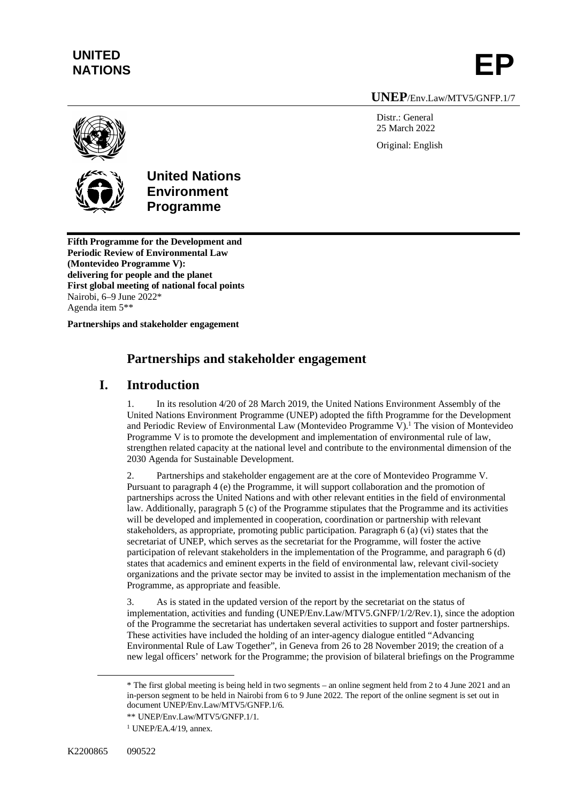# **UNITED**

UNITED<br>NATIONS **EP** 

#### **UNEP**/Env.Law/MTV5/GNFP.1/7

Distr.: General 25 March 2022 Original: English





## **United Nations Environment Programme**

**Fifth Programme for the Development and Periodic Review of Environmental Law (Montevideo Programme V): delivering for people and the planet First global meeting of national focal points** Nairobi, 6–9 June 2022\* Agenda item 5\*\*

**Partnerships and stakeholder engagement**

### **Partnerships and stakeholder engagement**

### **I. Introduction**

1. In its resolution 4/20 of 28 March 2019, the United Nations Environment Assembly of the United Nations Environment Programme (UNEP) adopted the fifth Programme for the Development and Periodic Review of Environmental Law (Montevideo Programme V).<sup>1</sup> The vision of Montevideo Programme V is to promote the development and implementation of environmental rule of law, strengthen related capacity at the national level and contribute to the environmental dimension of the 2030 Agenda for Sustainable Development.

2. Partnerships and stakeholder engagement are at the core of Montevideo Programme V. Pursuant to paragraph 4 (e) the Programme, it will support collaboration and the promotion of partnerships across the United Nations and with other relevant entities in the field of environmental law. Additionally, paragraph 5 (c) of the Programme stipulates that the Programme and its activities will be developed and implemented in cooperation, coordination or partnership with relevant stakeholders, as appropriate, promoting public participation. Paragraph 6 (a) (vi) states that the secretariat of UNEP, which serves as the secretariat for the Programme, will foster the active participation of relevant stakeholders in the implementation of the Programme, and paragraph 6 (d) states that academics and eminent experts in the field of environmental law, relevant civil-society organizations and the private sector may be invited to assist in the implementation mechanism of the Programme, as appropriate and feasible.

3. As is stated in the updated version of the report by the secretariat on the status of implementation, activities and funding (UNEP/Env.Law/MTV5.GNFP/1/2/Rev.1), since the adoption of the Programme the secretariat has undertaken several activities to support and foster partnerships. These activities have included the holding of an inter-agency dialogue entitled "Advancing Environmental Rule of Law Together", in Geneva from 26 to 28 November 2019; the creation of a new legal officers' network for the Programme; the provision of bilateral briefings on the Programme

<sup>\*</sup> The first global meeting is being held in two segments – an online segment held from 2 to 4 June 2021 and an in-person segment to be held in Nairobi from 6 to 9 June 2022. The report of the online segment is set out in document UNEP/Env.Law/MTV5/GNFP.1/6.

<sup>\*\*</sup> UNEP/Env.Law/MTV5/GNFP.1/1.

<sup>1</sup> UNEP/EA.4/19, annex.